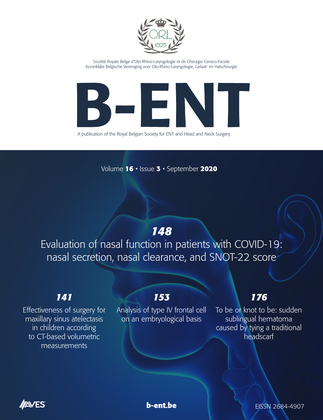

Société Royale Belge d'Oto-Rhino-Laryngologie et de Chirurgie Cervico-Faciale Koninklijke Belgische Vereniging voor Oto-Rhino-Laryngologie, Gelaat- en Halschirurgie



A publication of the Royal Belgian Society for ENT and Head and Neck Surgery

Volume **16** • Issue **3** • September **2020**

# *148*

Evaluation of nasal function in patients with COVID-19: nasal secretion, nasal clearance, and SNOT-22 score

## *141*

Effectiveness of surgery for maxillary sinus atelectasis in children according to CT-based volumetric measurements

## *153*

Analysis of type IV frontal cell on an embryological basis

## *176*

To be or knot to be: sudden sublingual hematoma caused by tying a traditional headscarf





**b-ent.be EISSN 2684-4907**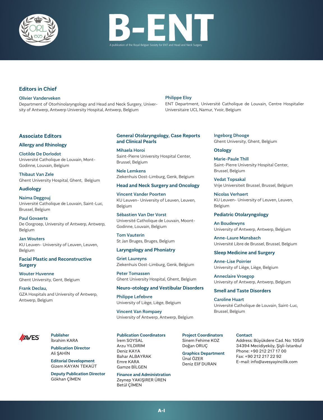



## **Editors in Chief**

#### Olivier Vanderveken

Department of Otorhinolaryngology and Head and Neck Surgery, University of Antwerp, Antwerp University Hospital, Antwerp, Belgium

#### Philippe Eloy

ENT Department, Université Catholique de Louvain, Centre Hospitalier Universitaire UCL Namur, Yvoir, Belgium

## **Associate Editors**

#### **Allergy and Rhinology**

Clotilde De Dorlodot

Université Catholique de Louvain, Mont-Godinne, Louvain, Belgium

Thibaut Van Zele Ghent University Hospital, Ghent, Belgium

#### **Audiology**

Naima Deggouj Université Catholique de Louvain, Saint-Luc, Brussel, Belgium

Paul Govaerts De Oorgroep, University of Antwerp, Antwerp, Belgium

Jan Wouters KU Leuven- University of Leuven, Leuven, Belgium

## **Facial Plastic and Reconstructive Surgery**

Wouter Huvenne Ghent University, Gent, Belgium

Frank Declau, GZA Hospitals and University of Antwerp, Antwerp, Belgium



**Publisher** İbrahim KARA

> **Publication Director** Ali ŞAHİN

**Editorial Development** Gizem KAYAN TEKAÜT

**Deputy Publication Director** Gökhan ÇİMEN

## **General Otolaryngology, Case Reports and Clinical Pearls**

Mihaela Horoi Saint-Pierre University Hospital Center, Brussel, Belgium

Nele Lemkens Ziekenhuis Oost-Limburg, Genk, Belgium

#### **Head and Neck Surgery and Oncology**

Vincent Vander Poorten KU Leuven- University of Leuven, Leuven, Belgium

Sébastien Van Der Vorst Université Catholique de Louvain, Moont-

Tom Vauterin St Jan Bruges, Bruges, Belgium

Godinne, Louvain, Belgium

#### **Laryngology and Phoniatry**

Griet Laureyns Ziekenhuis Oost-Limburg, Genk, Belgium

Peter Tomassen Ghent University Hospital, Ghent, Belgium

#### **Neuro-otology and Vestibular Disorders**

Philippe Lefebvre University of Liège, Liège, Belgium

Vincent Van Rompaey University of Antwerp, Antwerp, Belgium

## **Publication Coordinators**

İrem SOYSAL Arzu YILDIRIM Deniz KAYA Bahar ALBAYRAK Emre KARA Gamze BİLGEN

**Finance and Administration** Zeynep YAKIŞIRER ÜREN Betül ÇİMEN

**Project Coordinators** Sinem Fehime KOZ Doğan ORUÇ

**Graphics Department** Ünal ÖZER Deniz Elif DURAN

## Ingeborg Dhooge Ghent University, Ghent, Belgium

## **Otology**

Marie-Paule Thill Saint-Pierre University Hospital Center, Brussel, Belgium

Vedat Topsakal Vrije Universiteit Brussel, Brussel, Belgium

Nicolas Verhaert KU Leuven- University of Leuven, Leuven, Belgium

## **Pediatric Otolaryngology**

An Boudewyns University of Antwerp, Antwerp, Belgium

Anne-Laure Mansbach Université Libre de Brussel, Brussel, Belgium

#### **Sleep Medicine and Surgery**

Anne-Lise Poirrier University of Liège, Liège, Belgium

Anneclaire Vroegop University of Antwerp, Antwerp, Belgium

## **Smell and Taste Disorders**

Caroline Huart Université Catholique de Louvain, Saint-Luc, Brussel, Belgium

#### **Contact**

Address: Büyükdere Cad. No: 105/9 34394 Mecidiyeköy, Şişli-İstanbul Phone: +90 212 217 17 00 Fax: +90 212 217 22 92 E-mail: info@avesyayincilik.com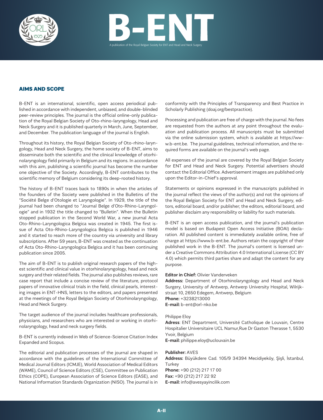



## AIMS AND SCOPE

B-ENT is an international, scientific, open access periodical published in accordance with independent, unbiased, and double-blinded peer-review principles. The journal is the official online-only publication of the Royal Belgian Society of Oto-rhino-laryngology, Head and Neck Surgery and it is published quarterly in March, June, September, and December. The publication language of the journal is English.

Throughout its history, the Royal Belgian Society of Oto-rhino-laryngology, Head and Neck Surgery, the home society of B-ENT, aims to disseminate both the scientific and the clinical knowledge of otorhinolaryngology field primarily in Belgium and its regions. In accordance with this aim, publishing a scientific journal has become the number one objective of the Society. Accordingly, B-ENT contributes to the scientific memory of Belgium considering its deep-rooted history.

The history of B-ENT traces back to 1890s in when the articles of the founders of the Society were published in the Bulletins of the "Société Belge d'Otologie et Laryngologie". In 1929, the title of the journal had been changed to "Journal Belge d'Oto-Rhino-Laryngologie" and in 1932 the title changed to "Bulletin". When the Bulletin stopped publication in the Second World War, a new journal Acta Oto-Rhino-Laryngologica Belgica was created in 1945. The first issue of Acta Oto-Rhino-Laryngologica Belgica is published in 1946 and it started to reach more of the country via university and library subscriptions. After 59 years, B-ENT was created as the continuation of Acta Oto-Rhino-Laryngologica Belgica and it has been continuing publication since 2005.

The aim of B-ENT is to publish original research papers of the highest scientific and clinical value in otorhinolaryngology, head and neck surgery and their related fields. The journal also publishes reviews, rare case report that include a concise review of the literature, protocol papers of innovative clinical trials in the field, clinical pearls, interesting images in ENT-HNS, letters to the editors, and papers presented at the meetings of the Royal Belgian Society of Otorhinolaryngology, Head and Neck Surgery.

The target audience of the journal includes healthcare professionals, physicians, and researchers who are interested or working in otorhinolaryngology, head and neck surgery fields.

B-ENT is currently indexed in Web of Science-Science Citation Index Expanded and Scopus.

The editorial and publication processes of the journal are shaped in accordance with the guidelines of the International Committee of Medical Journal Editors (ICMJE), World Association of Medical Editors (WAME), Council of Science Editors (CSE), Committee on Publication Ethics (COPE), European Association of Science Editors (EASE), and National Information Standards Organization (NISO). The journal is in conformity with the Principles of Transparency and Best Practice in Scholarly Publishing (doaj.org/bestpractice).

Processing and publication are free of charge with the journal. No fees are requested from the authors at any point throughout the evaluation and publication process. All manuscripts must be submitted via the online submission system, which is available at https://www.b-ent.be. The journal guidelines, technical information, and the required forms are available on the journal's web page.

All expenses of the journal are covered by the Royal Belgian Society for ENT and Head and Neck Surgery. Potential advertisers should contact the Editorial Office. Advertisement images are published only upon the Editor-in-Chief's approval.

Statements or opinions expressed in the manuscripts published in the journal reflect the views of the author(s) and not the opinions of the Royal Belgian Society for ENT and Head and Neck Surgery, editors, editorial board, and/or publisher; the editors, editorial board, and publisher disclaim any responsibility or liability for such materials.

B-ENT is an open access publication, and the journal's publication model is based on Budapest Open Access Initiative (BOAI) declaration. All published content is immediately available online, free of charge at https://www.b-ent.be. Authors retain the copyright of their published work in the B-ENT. The journal's content is licensed under a Creative Commons Attribution 4.0 International License (CC BY 4.0) which permits third parties share and adapt the content for any purpose.

#### **Editor in Chief:** Olivier Vanderveken

**Address:** Department of Otorhinolaryngology and Head and Neck Surgery, University of Antwerp, Antwerp University Hospital, Wilrijkstraat 10, 2650 Edegem, Antwerp, Belgium **Phone:** +3238213000 **E-mail:** b-ent@orl-nko.be

#### Philippe Eloy

**Adress**: ENT Department, Université Catholique de Louvain, Centre Hospitalier Universitaire UCL Namur,Rue Dr Gaston Therasse 1, 5530 Yvoir, Belgium **E-mail:** philippe.eloy@uclouvain.be

#### **Publisher:** AVES

**Address:** Büyükdere Cad. 105/9 34394 Mecidiyeköy, Şişli, İstanbul, **Turkey Phone:** +90 (212) 217 17 00 **Fax:** +90 (212) 217 22 92 **E-mail:** info@avesyayincilik.com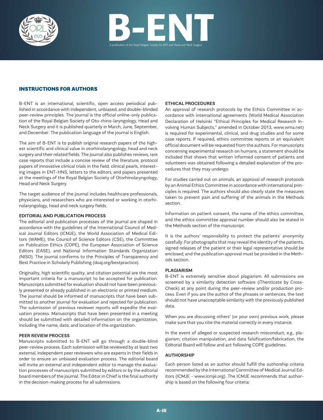



## INSTRUCTIONS FOR AUTHORS

B-ENT is an international, scientific, open access periodical published in accordance with independent, unbiased, and double-blinded peer-review principles. The journal is the official online-only publication of the Royal Belgian Society of Oto-rhino-laryngology, Head and Neck Surgery and it is published quarterly in March, June, September, and December. The publication language of the journal is English.

The aim of B-ENT is to publish original research papers of the highest scientific and clinical value in otorhinolaryngology, head and neck surgery and their related fields. The journal also publishes reviews, rare case reports that include a concise review of the literature, protocol papers of innovative clinical trials in the field, clinical pearls, interesting images in ENT-HNS, letters to the editors, and papers presented at the meetings of the Royal Belgian Society of Otorhinolaryngology, Head and Neck Surgery.

The target audience of the journal includes healthcare professionals, physicians, and researchers who are interested or working in otorhinolaryngology, head and neck surgery fields.

#### **EDITORIAL AND PUBLICATION PROCESS**

The editorial and publication processes of the journal are shaped in accordance with the guidelines of the International Council of Medical Journal Editors (ICMJE), the World Association of Medical Editors (WAME), the Council of Science Editors (CSE), the Committee on Publication Ethics (COPE), the European Association of Science Editors (EASE), and National Information Standards Organization (NISO). The journal conforms to the Principles of Transparency and Best Practice in Scholarly Publishing (doaj.org/bestpractice).

Originality, high scientific quality, and citation potential are the most important criteria for a manuscript to be accepted for publication. Manuscripts submitted for evaluation should not have been previously presented or already published in an electronic or printed medium. The journal should be informed of manuscripts that have been submitted to another journal for evaluation and rejected for publication. The submission of previous reviewer reports will expedite the evaluation process. Manuscripts that have been presented in a meeting should be submitted with detailed information on the organization, including the name, date, and location of the organization.

#### **PEER REVIEW PROCESS**

Manuscripts submitted to B-ENT will go through a double-blind peer-review process. Each submission will be reviewed by at least two external, independent peer reviewers who are experts in their fields in order to ensure an unbiased evaluation process. The editorial board will invite an external and independent editor to manage the evaluation processes of manuscripts submitted by editors or by the editorial board members of the journal. The Editor in Chief is the final authority in the decision-making process for all submissions.

#### **ETHICAL PROCEDURES**

An approval of research protocols by the Ethics Committee in accordance with international agreements (World Medical Association Declaration of Helsinki "Ethical Principles for Medical Research Involving Human Subjects," amended in October 2013, www.wma.net) is required for experimental, clinical, and drug studies and for some case reports. If required, ethics committee reports or an equivalent official document will be requested from the authors. For manuscripts concerning experimental research on humans, a statement should be included that shows that written informed consent of patients and volunteers was obtained following a detailed explanation of the procedures that they may undergo.

For studies carried out on animals, an approval of research protocols by an Animal Ethics Committee in accordance with international principles is required. The authors should also clearly state the measures taken to prevent pain and suffering of the animals in the Methods section.

Information on patient consent, the name of the ethics committee, and the ethics committee approval number should also be stated in the Methods section of the manuscript.

It is the authors' responsibility to protect the patients' anonymity carefully. For photographs that may reveal the identity of the patients, signed releases of the patient or their legal representative should be enclosed, and the publication approval must be provided in the Methods section.

#### **PLAGIARISM**

B-ENT is extremely sensitive about plagiarism. All submissions are screened by a similarity detection software (iThenticate by Cross-Check) at any point during the peer-review and/or production process. Even if you are the author of the phrases or sentences, the text should not have unacceptable similarity with the previously published data.

When you are discussing others' (or your own) previous work, please make sure that you cite the material correctly in every instance.

In the event of alleged or suspected research misconduct, e.g., plagiarism, citation manipulation, and data falsification/fabrication, the Editorial Board will follow and act following COPE guidelines.

#### **AUTHORSHIP**

Each person listed as an author should fulfill the authorship criteria recommended by the International Committee of Medical Journal Editors (ICMJE - www.icmje.org). The ICMJE recommends that authorship is based on the following four criteria: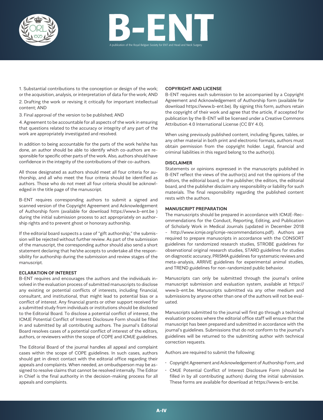



1. Substantial contributions to the conception or design of the work; or the acquisition, analysis, or interpretation of data for the work; AND

2. Drafting the work or revising it critically for important intellectual content; AND

3. Final approval of the version to be published; AND

4. Agreement to be accountable for all aspects of the work in ensuring that questions related to the accuracy or integrity of any part of the work are appropriately investigated and resolved.

In addition to being accountable for the parts of the work he/she has done, an author should be able to identify which co-authors are responsible for specific other parts of the work. Also, authors should have confidence in the integrity of the contributions of their co-authors.

All those designated as authors should meet all four criteria for authorship, and all who meet the four criteria should be identified as authors. Those who do not meet all four criteria should be acknowledged in the title page of the manuscript.

B-ENT requires corresponding authors to submit a signed and scanned version of the Copyright Agreement and Acknowledgement of Authorship form (available for download https://www.b-ent.be ) during the initial submission process to act appropriately on authorship rights and to prevent ghost or honorary authorship.

If the editorial board suspects a case of "gift authorship," the submission will be rejected without further review. As part of the submission of the manuscript, the corresponding author should also send a short statement declaring that he/she accepts to undertake all the responsibility for authorship during the submission and review stages of the manuscript.

#### **ECLARATION OF INTEREST**

B-ENT requires and encourages the authors and the individuals involved in the evaluation process of submitted manuscripts to disclose any existing or potential conflicts of interests, including financial, consultant, and institutional, that might lead to potential bias or a conflict of interest. Any financial grants or other support received for a submitted study from individuals or institutions should be disclosed to the Editorial Board. To disclose a potential conflict of interest, the ICMJE Potential Conflict of Interest Disclosure Form should be filled in and submitted by all contributing authors. The journal's Editorial Board resolves cases of a potential conflict of interest of the editors, authors, or reviewers within the scope of COPE and ICMJE guidelines.

The Editorial Board of the journal handles all appeal and complaint cases within the scope of COPE guidelines. In such cases, authors should get in direct contact with the editorial office regarding their appeals and complaints. When needed, an ombudsperson may be assigned to resolve claims that cannot be resolved internally. The Editor in Chief is the final authority in the decision-making process for all appeals and complaints.

#### **COPYRIGHT AND LICENSE**

B-ENT requires each submission to be accompanied by a Copyright Agreement and Acknowledgement of Authorship form (available for download https://www.b-ent.be). By signing this form, authors retain the copyright of their work and agree that the article, if accepted for publication by the B-ENT will be licensed under a Creative Commons Attribution 4.0 International License (CC BY 4.0).

When using previously published content, including figures, tables, or any other material in both print and electronic formats, authors must obtain permission from the copyright holder. Legal, financial and criminal liabilities in this regard belong to the author(s).

#### **DISCLAIMER**

Statements or opinions expressed in the manuscripts published in B-ENT reflect the views of the author(s) and not the opinions of the editors, the editorial board, or the publisher; the editors, the editorial board, and the publisher disclaim any responsibility or liability for such materials. The final responsibility regarding the published content rests with the authors.

#### **MANUSCRIPT PREPARATION**

The manuscripts should be prepared in accordance with ICMJE-Recommendations for the Conduct, Reporting, Editing, and Publication of Scholarly Work in Medical Journals (updated in December 2018 - http://www.icmje.org/icmje-recommendations.pdf). Authors are required to prepare manuscripts in accordance with the CONSORT guidelines for randomized research studies, STROBE guidelines for observational original research studies, STARD guidelines for studies on diagnostic accuracy, PRISMA guidelines for systematic reviews and meta-analysis, ARRIVE guidelines for experimental animal studies, and TREND guidelines for non-randomized public behavior.

Manuscripts can only be submitted through the journal's online manuscript submission and evaluation system, available at https:// www.b-ent.be. Manuscripts submitted via any other medium and submissions by anyone other than one of the authors will not be evaluated.

Manuscripts submitted to the journal will first go through a technical evaluation process where the editorial office staff will ensure that the manuscript has been prepared and submitted in accordance with the journal's guidelines. Submissions that do not conform to the journal's guidelines will be returned to the submitting author with technical correction requests.

Authors are required to submit the following:

- Copyright Agreement and Acknowledgement of Authorship Form, and
- CMJE Potential Conflict of Interest Disclosure Form (should be filled in by all contributing authors) during the initial submission. These forms are available for download at https://www.b-ent.be.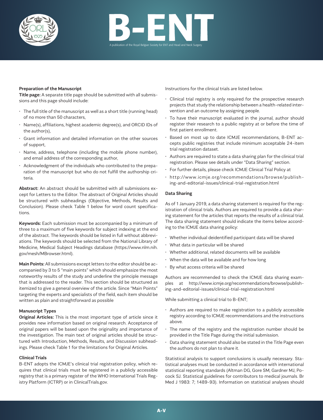



#### **Preparation of the Manuscript**

**Title page:** A separate title page should be submitted with all submissions and this page should include:

- $\cdot$  The full title of the manuscript as well as a short title (running head) of no more than 50 characters,
- Name(s), affiliations, highest academic degree(s), and ORCID IDs of the author(s),
- Grant information and detailed information on the other sources of support,
- Name, address, telephone (including the mobile phone number), and email address of the corresponding author,
- Acknowledgment of the individuals who contributed to the preparation of the manuscript but who do not fulfill the authorship criteria.

**Abstract:** An abstract should be submitted with all submissions except for Letters to the Editor. The abstract of Original Articles should be structured with subheadings (Objective, Methods, Results and Conclusion). Please check Table 1 below for word count specifications.

**Keywords:** Each submission must be accompanied by a minimum of three to a maximum of five keywords for subject indexing at the end of the abstract. The keywords should be listed in full without abbreviations. The keywords should be selected from the National Library of Medicine, Medical Subject Headings database (https://www.nlm.nih. gov/mesh/MBrowser.html).

**Main Points:** All submissions except letters to the editor should be accompanied by 3 to 5 "main points" which should emphasize the most noteworthy results of the study and underline the principle message that is addressed to the reader. This section should be structured as itemized to give a general overview of the article. Since "Main Points" targeting the experts and specialists of the field, each item should be written as plain and straightforward as possible

#### **Manuscript Types**

**Original Articles:** This is the most important type of article since it provides new information based on original research. Acceptance of original papers will be based upon the originality and importance of the investigation. The main text of original articles should be structured with Introduction, Methods, Results, and Discussion subheadings. Please check Table 1 for the limitations for Original Articles.

#### **Clinical Trials**

B-ENT adopts the ICMJE's clinical trial registration policy, which requires that clinical trials must be registered in a publicly accessible registry that is a primary register of the WHO International Trials Registry Platform (ICTRP) or in ClinicalTrials.gov.

Instructions for the clinical trials are listed below.

- Clinical trial registry is only required for the prospective research projects that study the relationship between a health-related intervention and an outcome by assigning people.
- To have their manuscript evaluated in the journal, author should register their research to a public registry at or before the time of first patient enrollment.
- Based on most up to date ICMJE recommendations, B-ENT accepts public registries that include minimum acceptable 24-item trial registration dataset.
- Authors are required to state a data sharing plan for the clinical trial registration. Please see details under "Data Sharing" section.
- For further details, please check ICMJE Clinical Trial Policy at
- http://www.icmje.org/recommendations/browse/publishing-and-editorial-issues/clinical-trial-registration.html

#### **Data Sharing**

As of 1 January 2019, a data sharing statement is required for the registration of clinical trials. Authors are required to provide a data sharing statement for the articles that reports the results of a clinical trial. The data sharing statement should indicate the items below according to the ICMJE data sharing policy:

- Whether individual deidentified participant data will be shared
- What data in particular will be shared
- Whether additional, related documents will be available
- $\cdot$  When the data will be available and for how long
- By what access criteria will be shared

Authors are recommended to check the ICMJE data sharing examples at http://www.icmje.org/recommendations/browse/publishing-and-editorial-issues/clinical-trial-registration.html

While submitting a clinical trial to B-ENT;

- Authors are required to make registration to a publicly accessible registry according to ICMJE recommendations and the instructions above.
- The name of the registry and the registration number should be provided in the Title Page during the initial submission.
- Data sharing statement should also be stated in the Title Page even the authors do not plan to share it.

Statistical analysis to support conclusions is usually necessary. Statistical analyses must be conducted in accordance with international statistical reporting standards (Altman DG, Gore SM, Gardner MJ, Pocock SJ. Statistical guidelines for contributors to medical journals. Br Med J 1983: 7; 1489-93). Information on statistical analyses should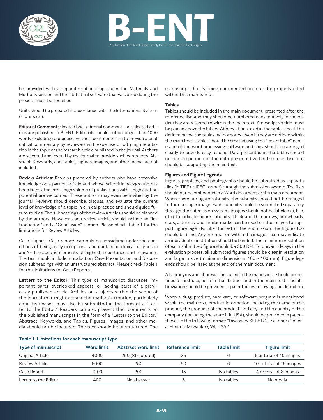



be provided with a separate subheading under the Materials and Methods section and the statistical software that was used during the process must be specified.

Units should be prepared in accordance with the International System of Units (SI).

**Editorial Comments:** Invited brief editorial comments on selected articles are published in B-ENT. Editorials should not be longer than 1000 words excluding references. Editorial comments aim to provide a brief critical commentary by reviewers with expertise or with high reputation in the topic of the research article published in the journal. Authors are selected and invited by the journal to provide such comments. Abstract, Keywords, and Tables, Figures, Images, and other media are not included.

**Review Articles:** Reviews prepared by authors who have extensive knowledge on a particular field and whose scientific background has been translated into a high volume of publications with a high citation potential are welcomed. These authors may even be invited by the journal. Reviews should describe, discuss, and evaluate the current level of knowledge of a topic in clinical practice and should guide future studies. The subheadings of the review articles should be planned by the authors. However, each review article should include an "Introduction" and a "Conclusion" section. Please check Table 1 for the limitations for Review Articles.

Case Reports: Case reports can only be considered under the conditions of being really exceptional and containing clinical, diagnostic and/or therapeutic elements of highest importance and relevance.. The text should include Introduction, Case Presentation, and Discussion subheadings with an unstructured abstract. Please check Table 1 for the limitations for Case Reports.

**Letters to the Editor:** This type of manuscript discusses important parts, overlooked aspects, or lacking parts of a previously published article. Articles on subjects within the scope of the journal that might attract the readers' attention, particularly educative cases, may also be submitted in the form of a "Letter to the Editor." Readers can also present their comments on the published manuscripts in the form of a "Letter to the Editor." Abstract, Keywords, and Tables, Figures, Images, and other media should not be included. The text should be unstructured. The

manuscript that is being commented on must be properly cited within this manuscript.

## **Tables**

Tables should be included in the main document, presented after the reference list, and they should be numbered consecutively in the order they are referred to within the main text. A descriptive title must be placed above the tables. Abbreviations used in the tables should be defined below the tables by footnotes (even if they are defined within the main text). Tables should be created using the "insert table" command of the word processing software and they should be arranged clearly to provide easy reading. Data presented in the tables should not be a repetition of the data presented within the main text but should be supporting the main text.

## **Figures and Figure Legends**

Figures, graphics, and photographs should be submitted as separate files (in TIFF or JPEG format) through the submission system. The files should not be embedded in a Word document or the main document. When there are figure subunits, the subunits should not be merged to form a single image. Each subunit should be submitted separately through the submission system. Images should not be labeled (a, b, c, etc.) to indicate figure subunits. Thick and thin arrows, arrowheads, stars, asterisks, and similar marks can be used on the images to support figure legends. Like the rest of the submission, the figures too should be blind. Any information within the images that may indicate an individual or institution should be blinded. The minimum resolution of each submitted figure should be 300 DPI. To prevent delays in the evaluation process, all submitted figures should be clear in resolution and large in size (minimum dimensions: 100 × 100 mm). Figure legends should be listed at the end of the main document.

All acronyms and abbreviations used in the manuscript should be defined at first use, both in the abstract and in the main text. The abbreviation should be provided in parentheses following the definition.

When a drug, product, hardware, or software program is mentioned within the main text, product information, including the name of the product, the producer of the product, and city and the country of the company (including the state if in USA), should be provided in parentheses in the following format: "Discovery St PET/CT scanner (General Electric, Milwaukee, WI, USA)"

| Table 1. Limitations for each manuscript type |                   |                            |                 |                    |                          |
|-----------------------------------------------|-------------------|----------------------------|-----------------|--------------------|--------------------------|
| <b>Type of manuscript</b>                     | <b>Word limit</b> | <b>Abstract word limit</b> | Reference limit | <b>Table limit</b> | <b>Figure limit</b>      |
| Original Article                              | 4000              | 250 (Structured)           | 35              | 6                  | 5 or total of 10 images  |
| Review Article                                | 5000              | 250                        | 50              | 6                  | 10 or total of 15 images |
| Case Report                                   | 1200              | 200                        | 15              | No tables          | 4 or total of 8 images   |
| Letter to the Editor                          | 400               | No abstract                |                 | No tables          | No media                 |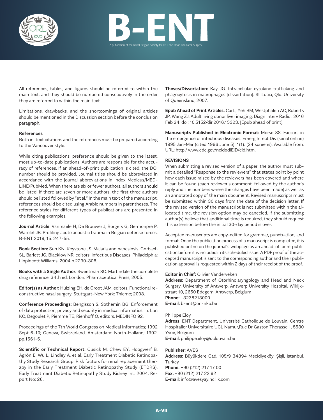



All references, tables, and figures should be referred to within the main text, and they should be numbered consecutively in the order they are referred to within the main text.

Limitations, drawbacks, and the shortcomings of original articles should be mentioned in the Discussion section before the conclusion paragraph.

#### **References**

Both in-text citations and the references must be prepared according to the Vancouver style.

While citing publications, preference should be given to the latest, most up-to-date publications. Authors are responsible for the accuracy of references. If an ahead-of-print publication is cited, the DOI number should be provided. Journal titles should be abbreviated in accordance with the journal abbreviations in Index Medicus/MED-LINE/PubMed. When there are six or fewer authors, all authors should be listed. If there are seven or more authors, the first three authors should be listed followed by "et al." In the main text of the manuscript, references should be cited using Arabic numbers in parentheses. The reference styles for different types of publications are presented in the following examples.

**Journal Article**: Vanmaele H, De Brouwer J, Borgers G, Germonpre P, Watelet JB. Profiling acute acoustic trauma in Belgian defense forces. B-ENT 2019; 15: 247-55.

**Book Section:** Suh KN, Keystone JS. Malaria and babesiosis. Gorbach SL, Barlett JG, Blacklow NR, editors. Infectious Diseases. Philadelphia: Lippincott Williams; 2004.p.2290-308.

**Books with a Single Author:** Sweetman SC. Martindale the complete drug reference. 34th ed. London: Pharmaceutical Press; 2005.

**Editor(s) as Author:** Huizing EH, de Groot JAM, editors. Functional reconstructive nasal surgery. Stuttgart-New York: Thieme; 2003.

**Conference Proceedings:** Bengisson S. Sothemin BG. Enforcement of data protection, privacy and security in medical informatics. In: Lun KC, Degoulet P, Piemme TE, Rienhoff O, editors. MEDINFO 92.

Proceedings of the 7th World Congress on Medical Informatics; 1992 Sept 6-10; Geneva, Switzerland. Amsterdam: North-Holland; 1992. pp.1561-5.

**Scientific or Technical Report:** Cusick M, Chew EY, Hoogwerf B, Agrón E, Wu L, Lindley A, et al. Early Treatment Diabetic Retinopathy Study Research Group. Risk factors for renal replacement therapy in the Early Treatment Diabetic Retinopathy Study (ETDRS), Early Treatment Diabetic Retinopathy Study Kidney Int: 2004. Report No: 26.

**Theses/Dissertation:** Kay JG. Intracellular cytokine trafficking and phagocytosis in macrophages [dissertation]. St Lucia, Qld: University of Queensland; 2007.

**Epub Ahead of Print Articles:** Cai L, Yeh BM, Westphalen AC, Roberts JP, Wang ZJ. Adult living donor liver imaging. Diagn Interv Radiol. 2016 Feb 24. doi: 10.5152/dir.2016.15323. [Epub ahead of print].

**Manuscripts Published in Electronic Format:** Morse SS. Factors in the emergence of infectious diseases. Emerg Infect Dis (serial online) 1995 Jan-Mar (cited 1996 June 5): 1(1): (24 screens). Available from: URL: http:/ www.cdc.gov/ncidodlElD/cid.htm.

#### **REVISIONS**

When submitting a revised version of a paper, the author must submit a detailed "Response to the reviewers" that states point by point how each issue raised by the reviewers has been covered and where it can be found (each reviewer's comment, followed by the author's reply and line numbers where the changes have been made) as well as an annotated copy of the main document. Revised manuscripts must be submitted within 30 days from the date of the decision letter. If the revised version of the manuscript is not submitted within the allocated time, the revision option may be canceled. If the submitting author(s) believe that additional time is required, they should request this extension before the initial 30-day period is over.

Accepted manuscripts are copy-edited for grammar, punctuation, and format. Once the publication process of a manuscript is completed, it is published online on the journal's webpage as an ahead-of-print publication before it is included in its scheduled issue. A PDF proof of the accepted manuscript is sent to the corresponding author and their publication approval is requested within 2 days of their receipt of the proof.

## **Editor in Chief:** Olivier Vanderveken

**Address:** Department of Otorhinolaryngology and Head and Neck Surgery, University of Antwerp, Antwerp University Hospital, Wilrijkstraat 10, 2650 Edegem, Antwerp, Belgium **Phone:** +3238213000 **E-mail:** b-ent@orl-nko.be

#### Philippe Eloy

**Adress**: ENT Department, Université Catholique de Louvain, Centre Hospitalier Universitaire UCL Namur,Rue Dr Gaston Therasse 1, 5530 Yvoir, Belgium **E-mail:** philippe.eloy@uclouvain.be

#### **Publisher:** AVES

**Address:** Büyükdere Cad. 105/9 34394 Mecidiyeköy, Şişli, İstanbul, **Turkey Phone:** +90 (212) 217 17 00 **Fax:** +90 (212) 217 22 92 **E-mail:** info@avesyayincilik.com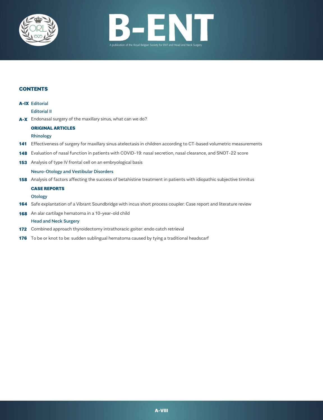



## **CONTENTS**

#### **A-IX** Editorial

Editorial II

A-X Endonasal surgery of the maxillary sinus, what can we do?

#### ORIGINAL ARTICLES

#### Rhinology

- 141 Effectiveness of surgery for maxillary sinus atelectasis in children according to CT-based volumetric measurements
- 148 Evaluation of nasal function in patients with COVID-19: nasal secretion, nasal clearance, and SNOT-22 score
- 153 Analysis of type IV frontal cell on an embryological basis

#### Neuro-Otology and Vestibular Disorders

158 Analysis of factors affecting the success of betahistine treatment in patients with idiopathic subjective tinnitus

## CASE REPORTS

## **Otology**

- 164 Safe explantation of a Vibrant Soundbridge with incus short process coupler: Case report and literature review
- 168 An alar cartilage hematoma in a 10-year-old child

#### Head and Neck Surgery

- 172 Combined approach thyroidectomy intrathoracic goiter: endo catch retrieval
- **176** To be or knot to be: sudden sublingual hematoma caused by tying a traditional headscarf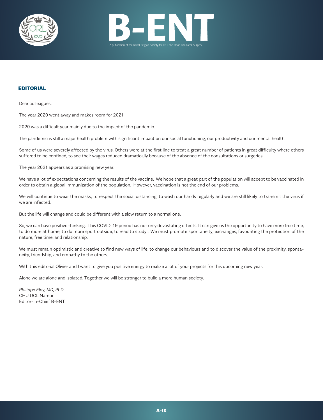



## EDITORIAL

Dear colleagues,

The year 2020 went away and makes room for 2021.

2020 was a difficult year mainly due to the impact of the pandemic.

The pandemic is still a major health problem with significant impact on our social functioning, our productivity and our mental health.

Some of us were severely affected by the virus. Others were at the first line to treat a great number of patients in great difficulty where others suffered to be confined, to see their wages reduced dramatically because of the absence of the consultations or surgeries.

The year 2021 appears as a promising new year.

We have a lot of expectations concerning the results of the vaccine. We hope that a great part of the population will accept to be vaccinated in order to obtain a global immunization of the population. However, vaccination is not the end of our problems.

We will continue to wear the masks, to respect the social distancing, to wash our hands regularly and we are still likely to transmit the virus if we are infected.

But the life will change and could be different with a slow return to a normal one.

So, we can have positive thinking. This COVID-19 period has not only devastating effects. It can give us the opportunity to have more free time, to do more at home, to do more sport outside, to read to study… We must promote spontaneity, exchanges, favouriting the protection of the nature, free time, and relationship.

We must remain optimistic and creative to find new ways of life, to change our behaviours and to discover the value of the proximity, spontaneity, friendship, and empathy to the others.

With this editorial Olivier and I want to give you positive energy to realize a lot of your projects for this upcoming new year.

Alone we are alone and isolated. Together we will be stronger to build a more human society.

*Philippe Eloy, MD, PhD* CHU UCL Namur Editor-in-Chief B-ENT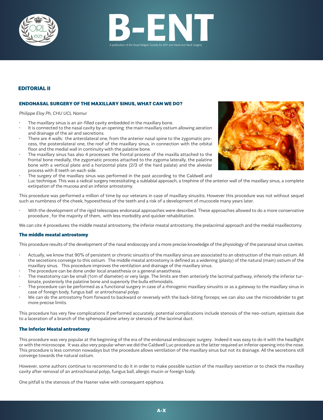



## EDITORIAL II

#### ENDONASAL SURGERY OF THE MAXILLARY SINUS, WHAT CAN WE DO?

*Philippe Eloy Ph, CHU UCL Namur*

- The maxillary sinus is an air-filled cavity embedded in the maxillary bone.
- It is connected to the nasal cavity by an opening: the main maxillary ostium allowing aeration and drainage of the air and secretions.
- There are 4 walls: the anterolateral one, from the anterior nasal spine to the zygomatic process, the posterolateral one, the roof of the maxillary sinus, in connection with the orbital floor and the medial wall in continuity with the palatine bone.
- The maxillary sinus has also 4 processes: the frontal process of the maxilla attached to the frontal bone medially, the zygomatic process attached to the zygoma laterally, the palatine bone with a vertical plate and a horizontal plate (2/3 of the hard palate) and the alveolar process with 8 teeth on each side.
- a <sup>c</sup> <sup>b</sup> d
- The surgery of the maxillary sinus was performed in the past according to the Caldwell and Luc technique. This was a radical surgery necessitating a sublabial approach, a trephine of the anterior wall of the maxillary sinus, a complete extirpation of the mucosa and an inferior antrostomy.

This procedure was performed a million of time by our veterans in case of maxillary sinusitis. However this procedure was not without sequel such as numbness of the cheek, hypoesthesia of the teeth and a risk of a development of mucocele many years later.

• With the development of the rigid telescopes endonasal approaches were described. These approaches allowed to do a more conservative procedure , for the majority of them, with less morbidity and quicker rehabilitation.

We can cite 4 procedures: the middle meatal antrostomy, the inferior meatal antrostomy, the prelacrimal approach and the medial maxillectomy.

#### The middle meatal antrostomy

This procedure results of the development of the nasal endoscopy and a more precise knowledge of the physiology of the paranasal sinus cavities.

- Actually, we know that 90% of persistent or chronic sinusitis of the maxillary sinus are associated to an obstruction of the main ostium. All the secretions converge to this ostium. The middle meatal antrostomy is defined as a widening (plasty) of the natural (main) ostium of the maxillary sinus. This procedure improves the ventilation and drainage of the maxillary sinus.
- The procedure can be done under local anaesthesia or a general anaesthesia.
- The meatotomy can be small (1cm of diameter) or very large. The limits are then anteriorly the lacrimal pathway, inferiorly the inferior turbinate, posteriorly the palatine bone and superiorly the bulla ethmoidalis.
- The procedure can be performed as a functional surgery in case of a rhinogenic maxillary sinusitis or as a gateway to the maxillary sinus in case of foreign body, fungus ball or antrochoanal polyp.
- We can do the antrostomy from forward to backward or reversely with the back-biting forceps; we can also use the microdebrider to get more precise limits.

This procedure has very few complications if performed accurately; potential complications include stenosis of the neo-ostium, epistaxis due to a laceration of a branch of the sphenopalatine artery or stenosis of the lacrimal duct.

## The Inferior Meatal antrostomy

This procedure was very popular at the beginning of the era of the endonasal endoscopic surgery. Indeed it was easy to do it with the headlight or with the microscope. It was also very popular when we did the Caldwell Luc procedure as the latter required an inferior opening into the nose. This procedure is less common nowadays but the procedure allows ventilation of the maxillary sinus but not its drainage. All the secretions still converge towards the natural ostium.

However, some authors continue to recommend to do it in order to make possible suction of the maxillary secretion or to check the maxillary cavity after removal of an antrochoanal polyp, fungus ball, allergic mucin or foreign body.

One pitfall is the stenosis of the Hasner valve with consequent epiphora.